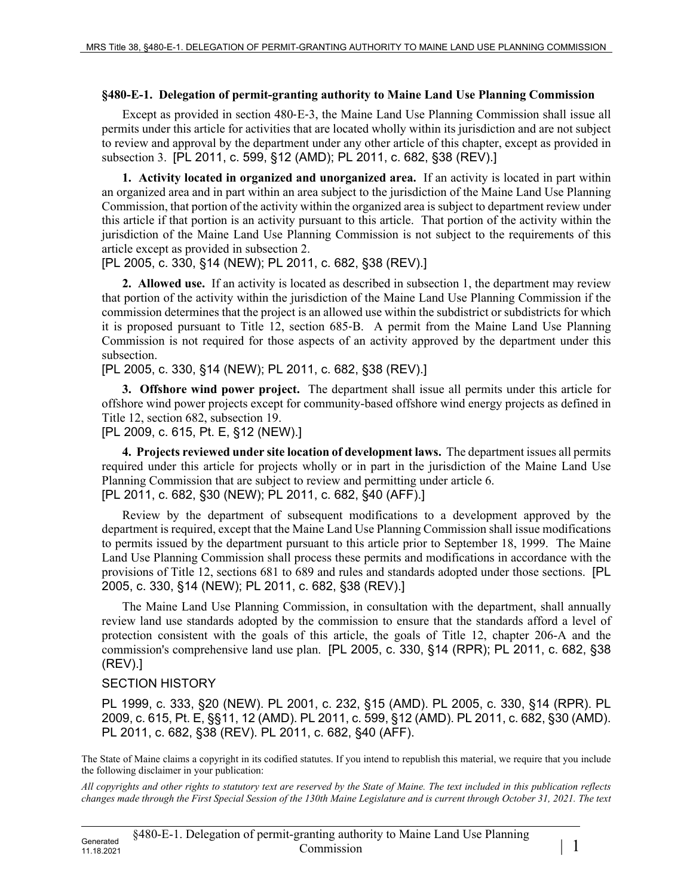## **§480-E-1. Delegation of permit-granting authority to Maine Land Use Planning Commission**

Except as provided in section 480‑E‑3, the Maine Land Use Planning Commission shall issue all permits under this article for activities that are located wholly within its jurisdiction and are not subject to review and approval by the department under any other article of this chapter, except as provided in subsection 3. [PL 2011, c. 599, §12 (AMD); PL 2011, c. 682, §38 (REV).]

**1. Activity located in organized and unorganized area.** If an activity is located in part within an organized area and in part within an area subject to the jurisdiction of the Maine Land Use Planning Commission, that portion of the activity within the organized area is subject to department review under this article if that portion is an activity pursuant to this article. That portion of the activity within the jurisdiction of the Maine Land Use Planning Commission is not subject to the requirements of this article except as provided in subsection 2.

[PL 2005, c. 330, §14 (NEW); PL 2011, c. 682, §38 (REV).]

**2. Allowed use.** If an activity is located as described in subsection 1, the department may review that portion of the activity within the jurisdiction of the Maine Land Use Planning Commission if the commission determines that the project is an allowed use within the subdistrict or subdistricts for which it is proposed pursuant to Title 12, section 685‑B. A permit from the Maine Land Use Planning Commission is not required for those aspects of an activity approved by the department under this subsection.

[PL 2005, c. 330, §14 (NEW); PL 2011, c. 682, §38 (REV).]

**3. Offshore wind power project.** The department shall issue all permits under this article for offshore wind power projects except for community-based offshore wind energy projects as defined in Title 12, section 682, subsection 19.

[PL 2009, c. 615, Pt. E, §12 (NEW).]

**4. Projects reviewed under site location of development laws.** The department issues all permits required under this article for projects wholly or in part in the jurisdiction of the Maine Land Use Planning Commission that are subject to review and permitting under article 6. [PL 2011, c. 682, §30 (NEW); PL 2011, c. 682, §40 (AFF).]

Review by the department of subsequent modifications to a development approved by the department is required, except that the Maine Land Use Planning Commission shall issue modifications to permits issued by the department pursuant to this article prior to September 18, 1999. The Maine Land Use Planning Commission shall process these permits and modifications in accordance with the provisions of Title 12, sections 681 to 689 and rules and standards adopted under those sections. [PL 2005, c. 330, §14 (NEW); PL 2011, c. 682, §38 (REV).]

The Maine Land Use Planning Commission, in consultation with the department, shall annually review land use standards adopted by the commission to ensure that the standards afford a level of protection consistent with the goals of this article, the goals of Title 12, chapter 206-A and the commission's comprehensive land use plan. [PL 2005, c. 330, §14 (RPR); PL 2011, c. 682, §38 (REV).]

## SECTION HISTORY

PL 1999, c. 333, §20 (NEW). PL 2001, c. 232, §15 (AMD). PL 2005, c. 330, §14 (RPR). PL 2009, c. 615, Pt. E, §§11, 12 (AMD). PL 2011, c. 599, §12 (AMD). PL 2011, c. 682, §30 (AMD). PL 2011, c. 682, §38 (REV). PL 2011, c. 682, §40 (AFF).

The State of Maine claims a copyright in its codified statutes. If you intend to republish this material, we require that you include the following disclaimer in your publication:

*All copyrights and other rights to statutory text are reserved by the State of Maine. The text included in this publication reflects changes made through the First Special Session of the 130th Maine Legislature and is current through October 31, 2021. The text*